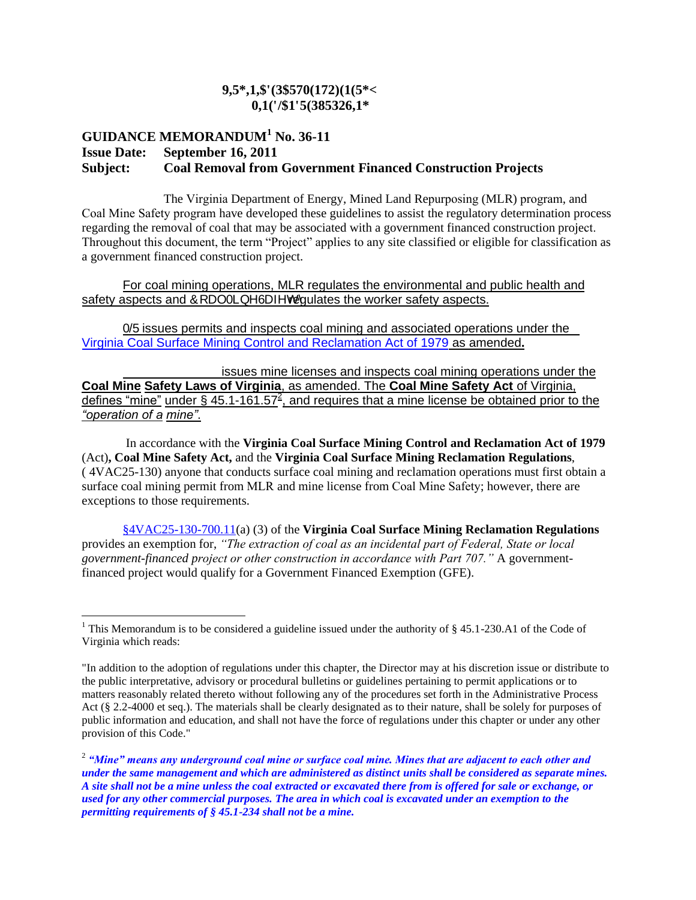# **GUIDANCE MEMORANDUM<sup>1</sup> No. 36-11 Issue Date: September 16, 2011 Subject: Coal Removal from Government Financed Construction Projects**

The Virginia Department of Energy, Mined Land Repurposing (MLR) program, and Coal Mine Safety program have developed these guidelines to assist the regulatory determination process regarding the removal of coal that may be associated with a government financed construction project. Throughout this document, the term "Project" applies to any site classified or eligible for classification as a government financed construction project.

For coal mining operations, MLR regulates the environmental and public health and safety aspects and **RDOGDH** regulates the worker safety aspects.

 $6$  issues permits and inspects coal mining and associated operations under the [Virginia Coal Surface Mining Control and Reclamation Act of 1979](http://leg1.state.va.us/cgi-bin/legp504.exe?000+cod+TOC45010000019000000000000) as amended**.** 

Coal Mine Safety issues mine licenses and inspects coal mining operations under the **Coal Mine Safety Laws of Virginia**, as amended. The **Coal Mine Safety Act** of Virginia, defines "mine" under § 45.1-161.57<sup>2</sup>, and requires that a mine license be obtained prior to the *"operation of a mine"*.

 In accordance with the **Virginia Coal Surface Mining Control and Reclamation Act of 1979**  (Act)**, Coal Mine Safety Act,** and the **Virginia Coal Surface Mining Reclamation Regulations**, ( 4VAC25-130) anyone that conducts surface coal mining and reclamation operations must first obtain a surface coal mining permit from MLR and mine license from Coal Mine Safety; however, there are exceptions to those requirements.

[§4VAC25-130-700.11\(](http://leg1.state.va.us/cgi-bin/legp504.exe?000+reg+4VAC25-130-700.11)a) (3) of the **Virginia Coal Surface Mining Reclamation Regulations** provides an exemption for, *"The extraction of coal as an incidental part of Federal, State or local government-financed project or other construction in accordance with Part 707."* A governmentfinanced project would qualify for a Government Financed Exemption (GFE).

<sup>&</sup>lt;sup>1</sup> This Memorandum is to be considered a guideline issued under the authority of  $\S$  45.1-230.A1 of the Code of Virginia which reads:

<sup>&</sup>quot;In addition to the adoption of regulations under this chapter, the Director may at his discretion issue or distribute to the public interpretative, advisory or procedural bulletins or guidelines pertaining to permit applications or to matters reasonably related thereto without following any of the procedures set forth in the Administrative Process Act (§ 2.2-4000 et seq.). The materials shall be clearly designated as to their nature, shall be solely for purposes of public information and education, and shall not have the force of regulations under this chapter or under any other provision of this Code."

<sup>2</sup> *"Mine" means any underground coal mine or surface coal mine. Mines that are adjacent to each other and under the same management and which are administered as distinct units shall be considered as separate mines. A site shall not be a mine unless the coal extracted or excavated there from is offered for sale or exchange, or used for any other commercial purposes. The area in which coal is excavated under an exemption to the permitting requirements of § 45.1-234 shall not be a mine.*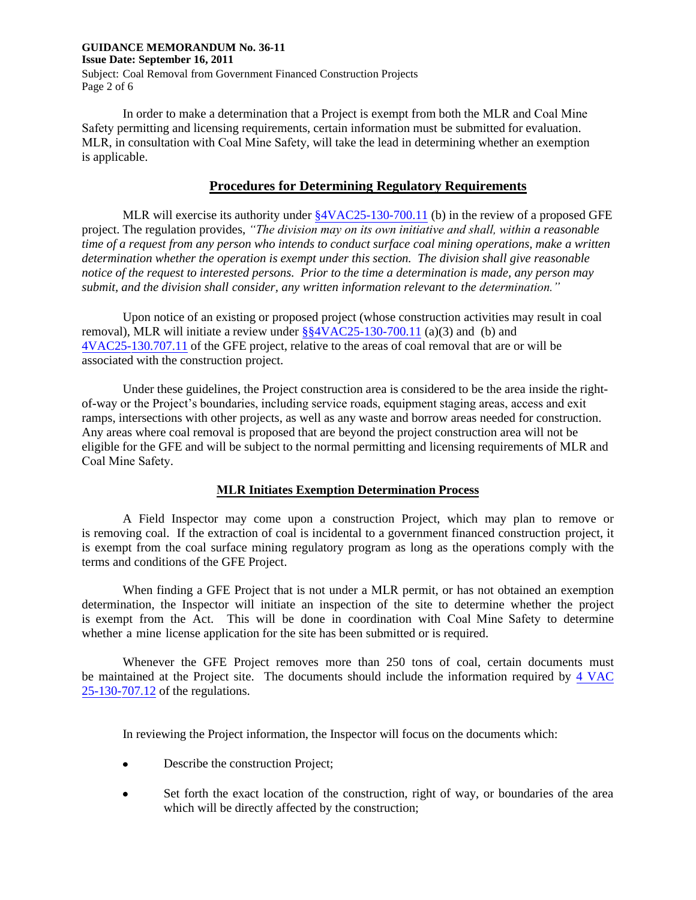**GUIDANCE MEMORANDUM No. 36-11 Issue Date: September 16, 2011**  Subject: Coal Removal from Government Financed Construction Projects Page 2 of 6

In order to make a determination that a Project is exempt from both the MLR and Coal Mine Safety permitting and licensing requirements, certain information must be submitted for evaluation. MLR, in consultation with Coal Mine Safety, will take the lead in determining whether an exemption is applicable.

# **Procedures for Determining Regulatory Requirements**

MLR will exercise its authority under  $\S 4VAC25-130-700.11$  (b) in the review of a proposed GFE project. The regulation provides, *"The division may on its own initiative and shall, within a reasonable time of a request from any person who intends to conduct surface coal mining operations, make a written determination whether the operation is exempt under this section. The division shall give reasonable notice of the request to interested persons. Prior to the time a determination is made, any person may submit, and the division shall consider, any written information relevant to the determination."*

Upon notice of an existing or proposed project (whose construction activities may result in coal removal), MLR will initiate a review under [§§4VAC25-130-700.11](http://leg1.state.va.us/cgi-bin/legp504.exe?000+reg+4VAC25-130-700.11) (a)(3) and (b) and 4VAC25-130.707.11 of the GFE project, relative to the areas of coal removal that are or [will be](http://leg1.state.va.us/cgi-bin/legp504.exe?000+reg+4VAC25-130-707.11)  [associated w](http://leg1.state.va.us/cgi-bin/legp504.exe?000+reg+4VAC25-130-707.11)ith the construction project.

Under these guidelines, the Project construction area is considered to be the area inside the rightof-way or the Project's boundaries, including service roads, equipment staging areas, access and exit ramps, intersections with other projects, as well as any waste and borrow areas needed for construction. Any areas where coal removal is proposed that are beyond the project construction area will not be eligible for the GFE and will be subject to the normal permitting and licensing requirements of MLR and Coal Mine Safety.

# **MLR Initiates Exemption Determination Process**

A Field Inspector may come upon a construction Project, which may plan to remove or is removing coal. If the extraction of coal is incidental to a government financed construction project, it is exempt from the coal surface mining regulatory program as long as the operations comply with the terms and conditions of the GFE Project.

When finding a GFE Project that is not under a MLR permit, or has not obtained an exemption determination, the Inspector will initiate an inspection of the site to determine whether the project is exempt from the Act. This will be done in coordination with Coal Mine Safety to determine whether a mine license application for the site has been submitted or is required.

Whenever the GFE Project removes more than 250 tons of coal, certain documents must be maintained at the Project site. The documents should include the information required by 4 VAC 25-130-707.12 of the regulations.

In reviewing the Project information, the Inspector will focus on the documents which:

- Describe the construction Project;  $\bullet$
- Set forth the exact location of the construction, right of way, or boundaries of the area  $\bullet$ which will be directly affected by the construction;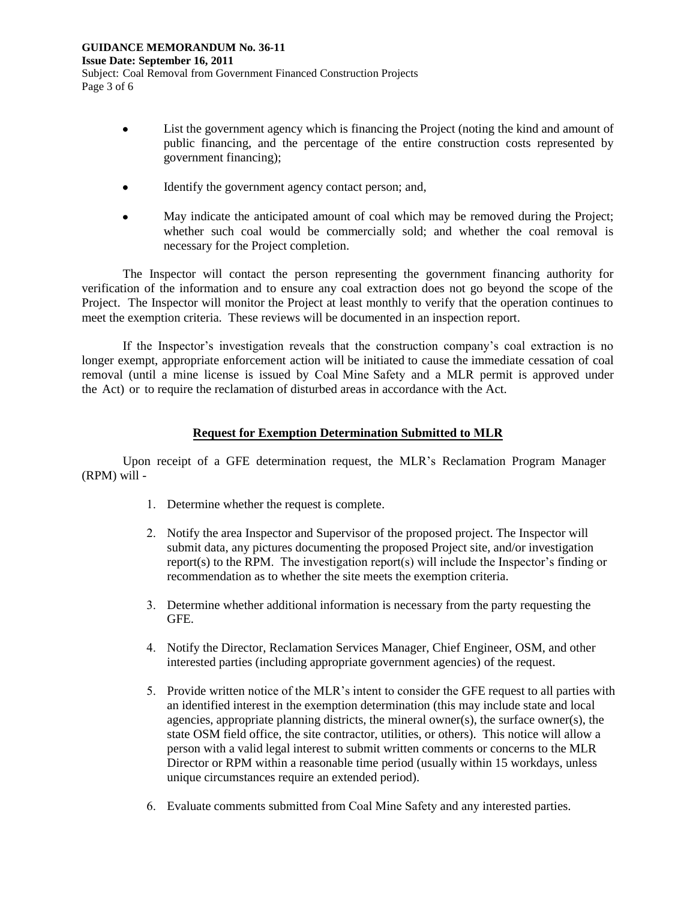- List the government agency which is financing the Project (noting the kind and amount of  $\bullet$ public financing, and the percentage of the entire construction costs represented by government financing);
- Identify the government agency contact person; and,
- May indicate the anticipated amount of coal which may be removed during the Project; whether such coal would be commercially sold; and whether the coal removal is necessary for the Project completion.

The Inspector will contact the person representing the government financing authority for verification of the information and to ensure any coal extraction does not go beyond the scope of the Project. The Inspector will monitor the Project at least monthly to verify that the operation continues to meet the exemption criteria. These reviews will be documented in an inspection report.

If the Inspector's investigation reveals that the construction company's coal extraction is no longer exempt, appropriate enforcement action will be initiated to cause the immediate cessation of coal removal (until a mine license is issued by Coal Mine Safety and a MLR permit is approved under the Act) or to require the reclamation of disturbed areas in accordance with the Act.

# **Request for Exemption Determination Submitted to MLR**

Upon receipt of a GFE determination request, the MLR's Reclamation Program Manager (RPM) will -

- 1. Determine whether the request is complete.
- 2. Notify the area Inspector and Supervisor of the proposed project. The Inspector will submit data, any pictures documenting the proposed Project site, and/or investigation report(s) to the RPM. The investigation report(s) will include the Inspector's finding or recommendation as to whether the site meets the exemption criteria.
- 3. Determine whether additional information is necessary from the party requesting the GFE.
- 4. Notify the Director, Reclamation Services Manager, Chief Engineer, OSM, and other interested parties (including appropriate government agencies) of the request.
- 5. Provide written notice of the MLR's intent to consider the GFE request to all parties with an identified interest in the exemption determination (this may include state and local agencies, appropriate planning districts, the mineral owner(s), the surface owner(s), the state OSM field office, the site contractor, utilities, or others). This notice will allow a person with a valid legal interest to submit written comments or concerns to the MLR Director or RPM within a reasonable time period (usually within 15 workdays, unless unique circumstances require an extended period).
- 6. Evaluate comments submitted from Coal Mine Safety and any interested parties.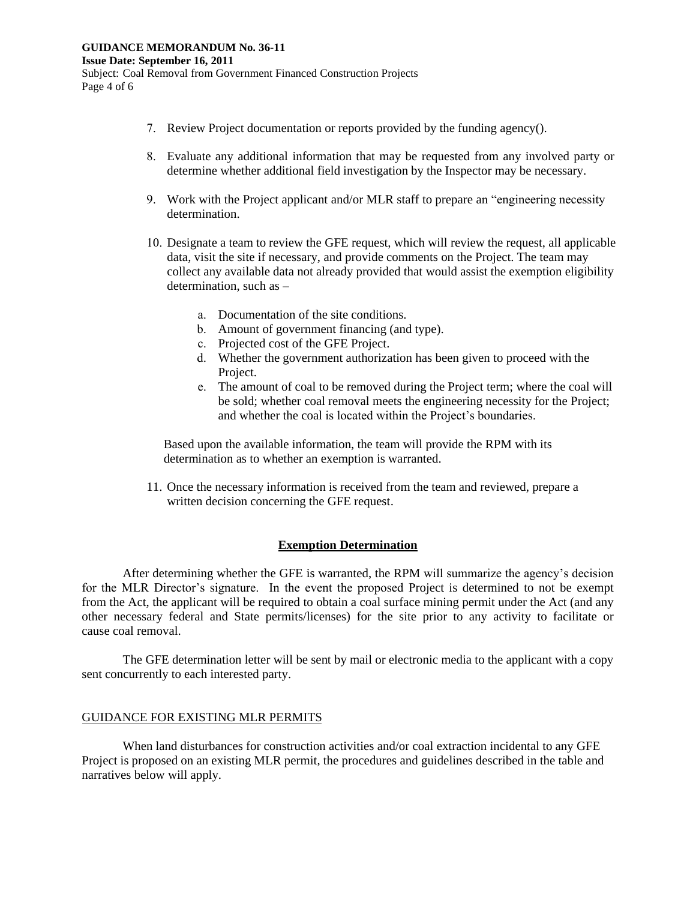- 7. Review Project documentation or reports provided by the funding agency().
- 8. Evaluate any additional information that may be requested from any involved party or determine whether additional field investigation by the Inspector may be necessary.
- 9. Work with the Project applicant and/or MLR staff to prepare an "engineering necessity determination.
- 10. Designate a team to review the GFE request, which will review the request, all applicable data, visit the site if necessary, and provide comments on the Project. The team may collect any available data not already provided that would assist the exemption eligibility determination, such as –
	- a. Documentation of the site conditions.
	- b. Amount of government financing (and type).
	- c. Projected cost of the GFE Project.
	- d. Whether the government authorization has been given to proceed with the Project.
	- e. The amount of coal to be removed during the Project term; where the coal will be sold; whether coal removal meets the engineering necessity for the Project; and whether the coal is located within the Project's boundaries.

Based upon the available information, the team will provide the RPM with its determination as to whether an exemption is warranted.

11. Once the necessary information is received from the team and reviewed, prepare a written decision concerning the GFE request.

### **Exemption Determination**

After determining whether the GFE is warranted, the RPM will summarize the agency's decision for the MLR Director's signature. In the event the proposed Project is determined to not be exempt from the Act, the applicant will be required to obtain a coal surface mining permit under the Act (and any other necessary federal and State permits/licenses) for the site prior to any activity to facilitate or cause coal removal.

The GFE determination letter will be sent by mail or electronic media to the applicant with a copy sent concurrently to each interested party.

### GUIDANCE FOR EXISTING MLR PERMITS

When land disturbances for construction activities and/or coal extraction incidental to any GFE Project is proposed on an existing MLR permit, the procedures and guidelines described in the table and narratives below will apply.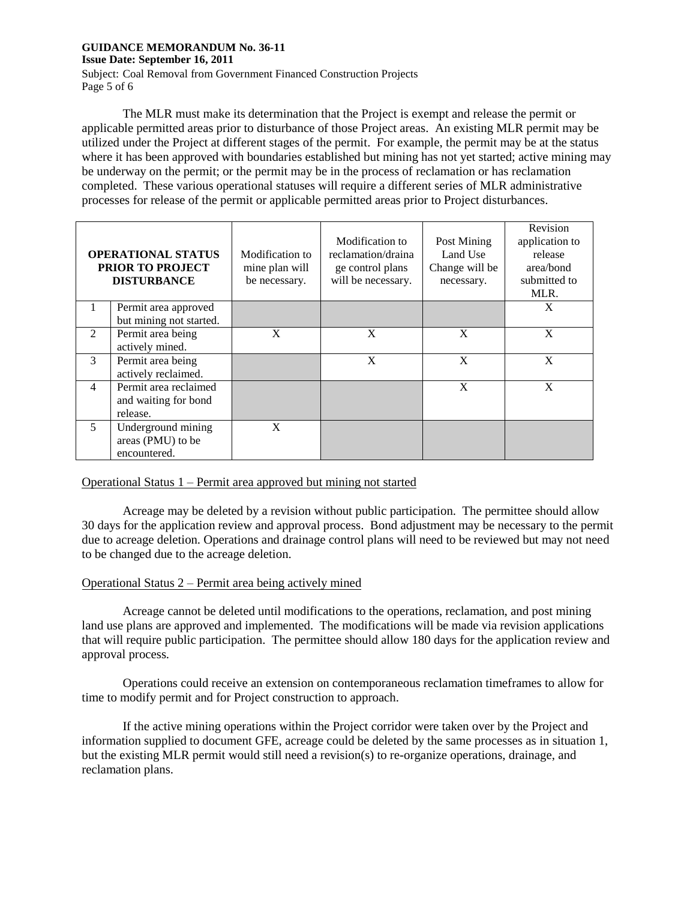#### **GUIDANCE MEMORANDUM No. 36-11**

#### **Issue Date: September 16, 2011**

Subject: Coal Removal from Government Financed Construction Projects Page 5 of 6

The MLR must make its determination that the Project is exempt and release the permit or applicable permitted areas prior to disturbance of those Project areas. An existing MLR permit may be utilized under the Project at different stages of the permit. For example, the permit may be at the status where it has been approved with boundaries established but mining has not yet started; active mining may be underway on the permit; or the permit may be in the process of reclamation or has reclamation completed. These various operational statuses will require a different series of MLR administrative processes for release of the permit or applicable permitted areas prior to Project disturbances.

| <b>OPERATIONAL STATUS</b><br><b>PRIOR TO PROJECT</b><br><b>DISTURBANCE</b> |                                                           | Modification to<br>mine plan will<br>be necessary. | Modification to<br>reclamation/draina<br>ge control plans<br>will be necessary. | Post Mining<br>Land Use<br>Change will be<br>necessary. | Revision<br>application to<br>release<br>area/bond<br>submitted to<br>MLR. |
|----------------------------------------------------------------------------|-----------------------------------------------------------|----------------------------------------------------|---------------------------------------------------------------------------------|---------------------------------------------------------|----------------------------------------------------------------------------|
| 1                                                                          | Permit area approved<br>but mining not started.           |                                                    |                                                                                 |                                                         | X                                                                          |
| $\mathfrak{D}$                                                             | Permit area being<br>actively mined.                      | X                                                  | X                                                                               | X                                                       | X                                                                          |
| 3                                                                          | Permit area being<br>actively reclaimed.                  |                                                    | X                                                                               | X                                                       | X                                                                          |
| 4                                                                          | Permit area reclaimed<br>and waiting for bond<br>release. |                                                    |                                                                                 | X                                                       | X                                                                          |
| 5                                                                          | Underground mining<br>areas (PMU) to be<br>encountered.   | X                                                  |                                                                                 |                                                         |                                                                            |

# Operational Status 1 – Permit area approved but mining not started

Acreage may be deleted by a revision without public participation. The permittee should allow 30 days for the application review and approval process. Bond adjustment may be necessary to the permit due to acreage deletion. Operations and drainage control plans will need to be reviewed but may not need to be changed due to the acreage deletion.

# Operational Status 2 – Permit area being actively mined

Acreage cannot be deleted until modifications to the operations, reclamation, and post mining land use plans are approved and implemented. The modifications will be made via revision applications that will require public participation. The permittee should allow 180 days for the application review and approval process.

Operations could receive an extension on contemporaneous reclamation timeframes to allow for time to modify permit and for Project construction to approach.

If the active mining operations within the Project corridor were taken over by the Project and information supplied to document GFE, acreage could be deleted by the same processes as in situation 1, but the existing MLR permit would still need a revision(s) to re-organize operations, drainage, and reclamation plans.